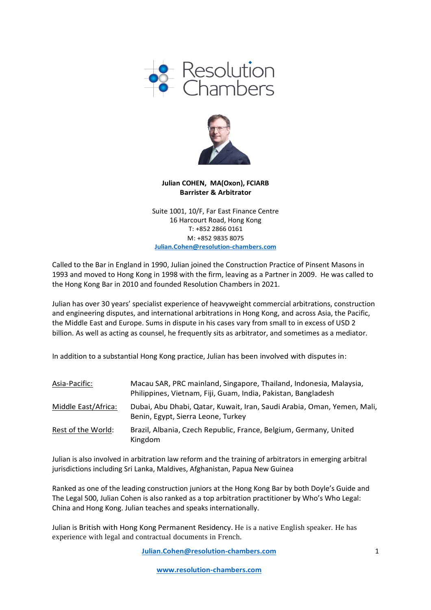



### **Julian COHEN, MA(Oxon), FCIARB Barrister & Arbitrator**

Suite 1001, 10/F, Far East Finance Centre 16 Harcourt Road, Hong Kong T: +852 2866 0161 M: +852 9835 8075 **[Julian.Cohen@resolution-chambers.com](mailto:Julian.Cohen@resolution-chambers.com)**

Called to the Bar in England in 1990, Julian joined the Construction Practice of Pinsent Masons in 1993 and moved to Hong Kong in 1998 with the firm, leaving as a Partner in 2009. He was called to the Hong Kong Bar in 2010 and founded Resolution Chambers in 2021.

Julian has over 30 years' specialist experience of heavyweight commercial arbitrations, construction and engineering disputes, and international arbitrations in Hong Kong, and across Asia, the Pacific, the Middle East and Europe. Sums in dispute in his cases vary from small to in excess of USD 2 billion. As well as acting as counsel, he frequently sits as arbitrator, and sometimes as a mediator.

In addition to a substantial Hong Kong practice, Julian has been involved with disputes in:

| Asia-Pacific:       | Macau SAR, PRC mainland, Singapore, Thailand, Indonesia, Malaysia,<br>Philippines, Vietnam, Fiji, Guam, India, Pakistan, Bangladesh |
|---------------------|-------------------------------------------------------------------------------------------------------------------------------------|
| Middle East/Africa: | Dubai, Abu Dhabi, Qatar, Kuwait, Iran, Saudi Arabia, Oman, Yemen, Mali,<br>Benin, Egypt, Sierra Leone, Turkey                       |
| Rest of the World:  | Brazil, Albania, Czech Republic, France, Belgium, Germany, United<br>Kingdom                                                        |

Julian is also involved in arbitration law reform and the training of arbitrators in emerging arbitral jurisdictions including Sri Lanka, Maldives, Afghanistan, Papua New Guinea

Ranked as one of the leading construction juniors at the Hong Kong Bar by both Doyle's Guide and The Legal 500, Julian Cohen is also ranked as a top arbitration practitioner by Who's Who Legal: China and Hong Kong. Julian teaches and speaks internationally.

Julian is British with Hong Kong Permanent Residency. He is a native English speaker. He has experience with legal and contractual documents in French.

**[Julian.Cohen@resolution-chambers.com](mailto:Julian.Cohen@resolution-chambers.com)**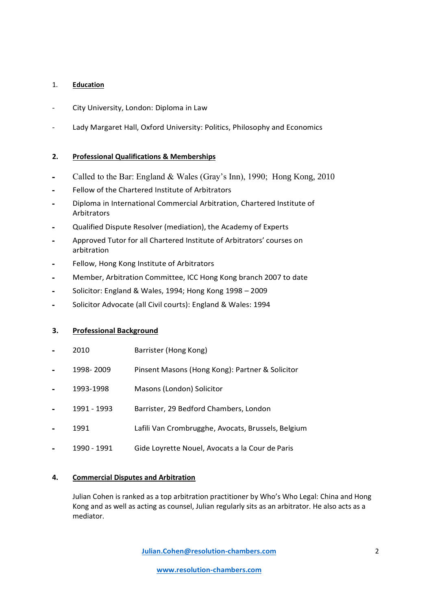## 1. **Education**

- City University, London: Diploma in Law
- Lady Margaret Hall, Oxford University: Politics, Philosophy and Economics

# **2. Professional Qualifications & Memberships**

- **-** Called to the Bar: England & Wales (Gray's Inn), 1990; Hong Kong, 2010
- **-** Fellow of the Chartered Institute of Arbitrators
- **-** Diploma in International Commercial Arbitration, Chartered Institute of **Arbitrators**
- **-** Qualified Dispute Resolver (mediation), the Academy of Experts
- **-** Approved Tutor for all Chartered Institute of Arbitrators' courses on arbitration
- **-** Fellow, Hong Kong Institute of Arbitrators
- **-** Member, Arbitration Committee, ICC Hong Kong branch 2007 to date
- **-** Solicitor: England & Wales, 1994; Hong Kong 1998 2009
- **-** Solicitor Advocate (all Civil courts): England & Wales: 1994

# **3. Professional Background**

- **-** 2010 Barrister (Hong Kong)
- **-** 1998- 2009 Pinsent Masons (Hong Kong): Partner & Solicitor
- **-** 1993-1998 Masons (London) Solicitor
- **-** 1991 1993 Barrister, 29 Bedford Chambers, London
- **-** 1991 Lafili Van Crombrugghe, Avocats, Brussels, Belgium
- **-** 1990 1991 Gide Loyrette Nouel, Avocats a la Cour de Paris

# **4. Commercial Disputes and Arbitration**

Julian Cohen is ranked as a top arbitration practitioner by Who's Who Legal: China and Hong Kong and as well as acting as counsel, Julian regularly sits as an arbitrator. He also acts as a mediator.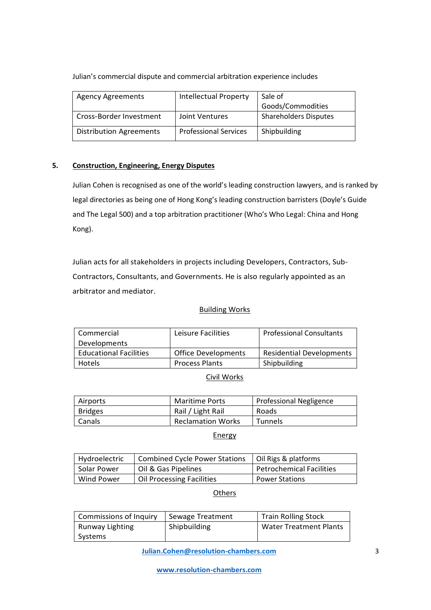### Julian's commercial dispute and commercial arbitration experience includes

| <b>Agency Agreements</b>       | <b>Intellectual Property</b> | Sale of                      |
|--------------------------------|------------------------------|------------------------------|
|                                |                              | Goods/Commodities            |
| Cross-Border Investment        | Joint Ventures               | <b>Shareholders Disputes</b> |
| <b>Distribution Agreements</b> | <b>Professional Services</b> | Shipbuilding                 |

## **5. Construction, Engineering, Energy Disputes**

Julian Cohen is recognised as one of the world's leading construction lawyers, and is ranked by legal directories as being one of Hong Kong's leading construction barristers (Doyle's Guide and The Legal 500) and a top arbitration practitioner (Who's Who Legal: China and Hong Kong).

Julian acts for all stakeholders in projects including Developers, Contractors, Sub-Contractors, Consultants, and Governments. He is also regularly appointed as an arbitrator and mediator.

### Building Works

| Commercial                    | Leisure Facilities    | <b>Professional Consultants</b> |
|-------------------------------|-----------------------|---------------------------------|
| Developments                  |                       |                                 |
| <b>Educational Facilities</b> | Office Developments   | <b>Residential Developments</b> |
| <b>Hotels</b>                 | <b>Process Plants</b> | Shipbuilding                    |

Civil Works

| Airports       | <b>Maritime Ports</b>    | Professional Negligence |
|----------------|--------------------------|-------------------------|
| <b>Bridges</b> | Rail / Light Rail        | Roads                   |
| Canals         | <b>Reclamation Works</b> | <b>Tunnels</b>          |

## **Energy**

| Hydroelectric | <b>Combined Cycle Power Stations</b> | Oil Rigs & platforms            |
|---------------|--------------------------------------|---------------------------------|
| Solar Power   | Oil & Gas Pipelines                  | <b>Petrochemical Facilities</b> |
| Wind Power    | <b>Oil Processing Facilities</b>     | <b>Power Stations</b>           |

#### **Others**

| <b>Commissions of Inquiry</b> | Sewage Treatment | <b>Train Rolling Stock</b>    |
|-------------------------------|------------------|-------------------------------|
| Runway Lighting               | Shipbuilding     | <b>Water Treatment Plants</b> |
| Systems                       |                  |                               |

**[Julian.Cohen@resolution-chambers.com](mailto:Julian.Cohen@resolution-chambers.com)**